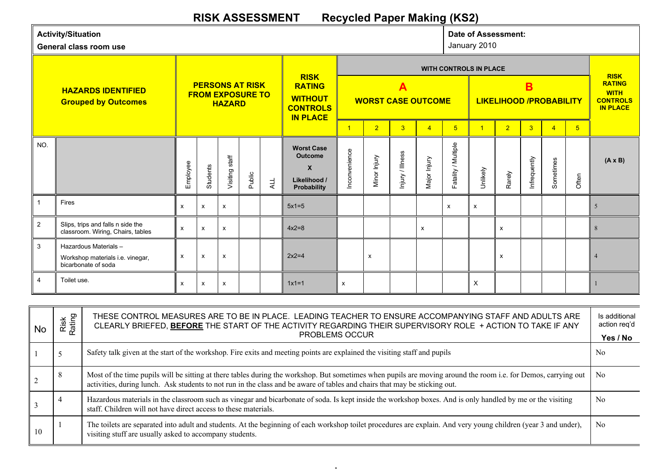## **RISK ASSESSMENT Recycled Paper Making (KS2)**

|                | <b>Activity/Situation</b><br>General class room use                             |                           |              |                                                                    |        |     |                                                                                        |                                                      |                           | <b>Date of Assessment:</b><br>January 2010 |                |                                                                      |          |                |                |                                                                                   |                |                |
|----------------|---------------------------------------------------------------------------------|---------------------------|--------------|--------------------------------------------------------------------|--------|-----|----------------------------------------------------------------------------------------|------------------------------------------------------|---------------------------|--------------------------------------------|----------------|----------------------------------------------------------------------|----------|----------------|----------------|-----------------------------------------------------------------------------------|----------------|----------------|
|                | <b>HAZARDS IDENTIFIED</b><br><b>Grouped by Outcomes</b>                         |                           |              | <b>PERSONS AT RISK</b><br><b>FROM EXPOSURE TO</b><br><b>HAZARD</b> |        |     | <b>RISK</b><br><b>RATING</b><br><b>WITHOUT</b><br><b>CONTROLS</b><br><b>IN PLACE</b>   | $\overline{\mathbf{A}}$<br><b>WORST CASE OUTCOME</b> |                           |                                            |                | <b>WITH CONTROLS IN PLACE</b><br>B<br><b>LIKELIHOOD /PROBABILITY</b> |          |                |                | <b>RISK</b><br><b>RATING</b><br><b>WITH</b><br><b>CONTROLS</b><br><b>IN PLACE</b> |                |                |
|                |                                                                                 |                           |              |                                                                    |        |     |                                                                                        |                                                      | $\overline{2}$            | $\overline{3}$                             | $\overline{4}$ | 5 <sup>5</sup>                                                       | 1        | $\overline{2}$ | $\overline{3}$ | $\overline{4}$                                                                    | 5 <sup>5</sup> |                |
| NO.            |                                                                                 | Employee                  | Students     | Visiting staff                                                     | Public | ALL | <b>Worst Case</b><br><b>Outcome</b><br>$\boldsymbol{X}$<br>Likelihood /<br>Probability | Inconvenience                                        | Minor Injury              | Injury / Illness                           | Major Injury   | Fatality / Multiple                                                  | Unlikely | Rarely         | Infrequently   | Sometimes                                                                         | Often          | $(A \times B)$ |
|                | Fires                                                                           | $\boldsymbol{\mathsf{x}}$ | x            | X                                                                  |        |     | $5x1=5$                                                                                |                                                      |                           |                                            |                | x                                                                    | X        |                |                |                                                                                   |                | 5              |
| 2              | Slips, trips and falls n side the<br>classroom. Wiring, Chairs, tables          | $\mathsf{x}$              | x            | x                                                                  |        |     | $4x2=8$                                                                                |                                                      |                           |                                            | X              |                                                                      |          | x              |                |                                                                                   |                | 8              |
| 3              | Hazardous Materials-<br>Workshop materials i.e. vinegar,<br>bicarbonate of soda | $\boldsymbol{\mathsf{X}}$ | $\mathsf{x}$ | X                                                                  |        |     | $2x2=4$                                                                                |                                                      | $\boldsymbol{\mathsf{x}}$ |                                            |                |                                                                      |          | X              |                |                                                                                   |                | $\overline{4}$ |
| $\overline{4}$ | Toilet use.                                                                     | $\boldsymbol{\mathsf{x}}$ | x            | X                                                                  |        |     | $1x1=1$                                                                                | $\boldsymbol{\mathsf{x}}$                            |                           |                                            |                |                                                                      | X        |                |                |                                                                                   |                |                |

| No | Risk<br>Rating | THESE CONTROL MEASURES ARE TO BE IN PLACE. LEADING TEACHER TO ENSURE ACCOMPANYING STAFF AND ADULTS ARE<br>CLEARLY BRIEFED, BEFORE THE START OF THE ACTIVITY REGARDING THEIR SUPERVISORY ROLE + ACTION TO TAKE IF ANY<br>PROBLEMS OCCUR                                                       | Is additional<br>action reg'd<br>Yes / No |
|----|----------------|----------------------------------------------------------------------------------------------------------------------------------------------------------------------------------------------------------------------------------------------------------------------------------------------|-------------------------------------------|
|    |                | Safety talk given at the start of the workshop. Fire exits and meeting points are explained the visiting staff and pupils                                                                                                                                                                    | N <sub>0</sub>                            |
|    | 8              | Most of the time pupils will be sitting at there tables during the workshop. But sometimes when pupils are moving around the room i.e. for Demos, carrying out<br>activities, during lunch. Ask students to not run in the class and be aware of tables and chairs that may be sticking out. | N <sub>0</sub>                            |
|    | $\overline{4}$ | Hazardous materials in the classroom such as vinegar and bicarbonate of soda. Is kept inside the workshop boxes. And is only handled by me or the visiting<br>staff. Children will not have direct access to these materials.                                                                | N <sub>0</sub>                            |
| 10 |                | The toilets are separated into adult and students. At the beginning of each workshop toilet procedures are explain. And very young children (year 3 and under),<br>visiting stuff are usually asked to accompany students.                                                                   | N <sub>0</sub>                            |

 $\mathsf F$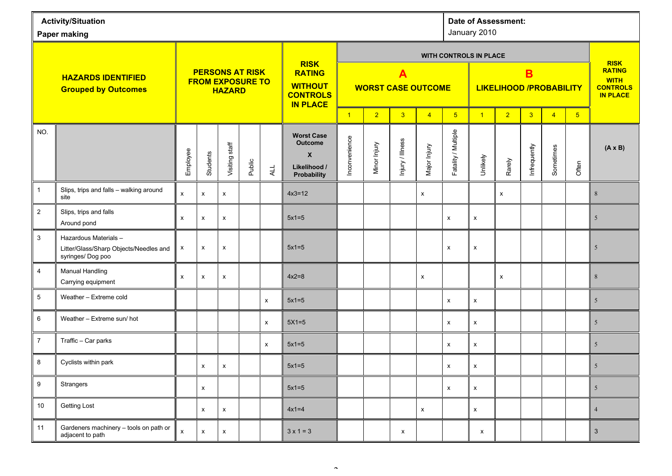| <b>Activity/Situation</b><br>Paper making               |                                                                                    |                        |                           |                                          |        |     |                                                                                                 |                                                      |                                                    |                  | <b>Date of Assessment:</b><br>January 2010 |                     |                                     |                    |                |                |                |                                                   |  |
|---------------------------------------------------------|------------------------------------------------------------------------------------|------------------------|---------------------------|------------------------------------------|--------|-----|-------------------------------------------------------------------------------------------------|------------------------------------------------------|----------------------------------------------------|------------------|--------------------------------------------|---------------------|-------------------------------------|--------------------|----------------|----------------|----------------|---------------------------------------------------|--|
|                                                         |                                                                                    | <b>PERSONS AT RISK</b> |                           |                                          |        |     | <b>RISK</b><br><b>RATING</b>                                                                    |                                                      |                                                    |                  |                                            |                     | <b>WITH CONTROLS IN PLACE</b>       |                    |                |                |                | <b>RISK</b><br><b>RATING</b>                      |  |
| <b>HAZARDS IDENTIFIED</b><br><b>Grouped by Outcomes</b> |                                                                                    |                        |                           | <b>FROM EXPOSURE TO</b><br><b>HAZARD</b> |        |     | <b>WITHOUT</b><br><b>CONTROLS</b><br><b>IN PLACE</b>                                            | $\overline{\mathbf{A}}$<br><b>WORST CASE OUTCOME</b> |                                                    |                  |                                            |                     | B<br><b>LIKELIHOOD /PROBABILITY</b> |                    |                |                |                | <b>WITH</b><br><b>CONTROLS</b><br><b>IN PLACE</b> |  |
|                                                         |                                                                                    |                        |                           |                                          |        |     |                                                                                                 | $\overline{1}$                                       | 3 <sup>°</sup><br>$\overline{2}$<br>$\overline{4}$ |                  |                                            |                     | $\overline{1}$                      | $\overline{2}$     | $\overline{3}$ | $\overline{4}$ | 5 <sub>5</sub> |                                                   |  |
| NO.                                                     |                                                                                    | Employee               | Students                  | Visiting staff                           | Public | ALL | <b>Worst Case</b><br><b>Outcome</b><br>$\boldsymbol{\mathsf{X}}$<br>Likelihood /<br>Probability | Inconvenience                                        | Minor Injury                                       | Injury / Illness | Major Injury                               | Fatality / Multiple | Unlikely                            | Rarely             | Infrequently   | Sometimes      | Often          | $(A \times B)$                                    |  |
| $\mathbf{1}$                                            | Slips, trips and falls - walking around<br>site                                    | $\pmb{\mathsf{X}}$     | $\pmb{\mathsf{x}}$        | x                                        |        |     | $4x3=12$                                                                                        |                                                      |                                                    |                  | $\pmb{\mathsf{x}}$                         |                     |                                     | $\pmb{\mathsf{x}}$ |                |                |                | $8\,$                                             |  |
| $\mathbf{2}$                                            | Slips, trips and falls<br>Around pond                                              | X                      | $\pmb{\mathsf{X}}$        | X                                        |        |     | $5x1=5$                                                                                         |                                                      |                                                    |                  |                                            | $\pmb{\mathsf{X}}$  | X                                   |                    |                |                |                | $5\phantom{.0}$                                   |  |
| 3                                                       | Hazardous Materials-<br>Litter/Glass/Sharp Objects/Needles and<br>syringes/Dog poo | X                      | $\pmb{\mathsf{X}}$        | X                                        |        |     | $5x1=5$                                                                                         |                                                      |                                                    |                  |                                            | $\pmb{\mathsf{X}}$  | $\pmb{\mathsf{x}}$                  |                    |                |                |                | 5                                                 |  |
| $\overline{4}$                                          | <b>Manual Handling</b><br>Carrying equipment                                       | $\pmb{\mathsf{X}}$     | $\pmb{\mathsf{x}}$        | X                                        |        |     | $4x2=8$                                                                                         |                                                      |                                                    |                  | $\pmb{\times}$                             |                     |                                     | X                  |                |                |                | $8\,$                                             |  |
| 5                                                       | Weather - Extreme cold                                                             |                        |                           |                                          |        | X   | $5x1=5$                                                                                         |                                                      |                                                    |                  |                                            | X                   | $\pmb{\chi}$                        |                    |                |                |                | 5 <sup>5</sup>                                    |  |
| 6                                                       | Weather - Extreme sun/ hot                                                         |                        |                           |                                          |        | X   | $5X1=5$                                                                                         |                                                      |                                                    |                  |                                            | $\pmb{\mathsf{X}}$  | X                                   |                    |                |                |                | 5 <sup>5</sup>                                    |  |
| $\overline{7}$                                          | Traffic - Car parks                                                                |                        |                           |                                          |        | X   | $5x1=5$                                                                                         |                                                      |                                                    |                  |                                            | $\pmb{\mathsf{X}}$  | $\pmb{\mathsf{x}}$                  |                    |                |                |                | $5\overline{)}$                                   |  |
| 8                                                       | Cyclists within park                                                               |                        | $\pmb{\mathsf{X}}$        | $\pmb{\mathsf{X}}$                       |        |     | $5x1=5$                                                                                         |                                                      |                                                    |                  |                                            | X                   | $\pmb{\mathsf{x}}$                  |                    |                |                |                | 5                                                 |  |
| 9                                                       | Strangers                                                                          |                        | $\pmb{\mathsf{x}}$        |                                          |        |     | $5x1=5$                                                                                         |                                                      |                                                    |                  |                                            | $\pmb{\mathsf{X}}$  | $\mathsf X$                         |                    |                |                |                | 5 <sup>5</sup>                                    |  |
| 10                                                      | <b>Getting Lost</b>                                                                |                        | X                         | X                                        |        |     | $4x1=4$                                                                                         |                                                      |                                                    |                  | $\pmb{\mathsf{X}}$                         |                     | $\pmb{\mathsf{x}}$                  |                    |                |                |                | $\overline{4}$                                    |  |
| 11                                                      | Gardeners machinery - tools on path or<br>adjacent to path                         | $\mathsf X$            | $\boldsymbol{\mathsf{x}}$ | X                                        |        |     | $3 \times 1 = 3$                                                                                |                                                      |                                                    | $\mathsf{x}$     |                                            |                     | $\mathsf{x}$                        |                    |                |                |                | $\mathbf{3}$                                      |  |